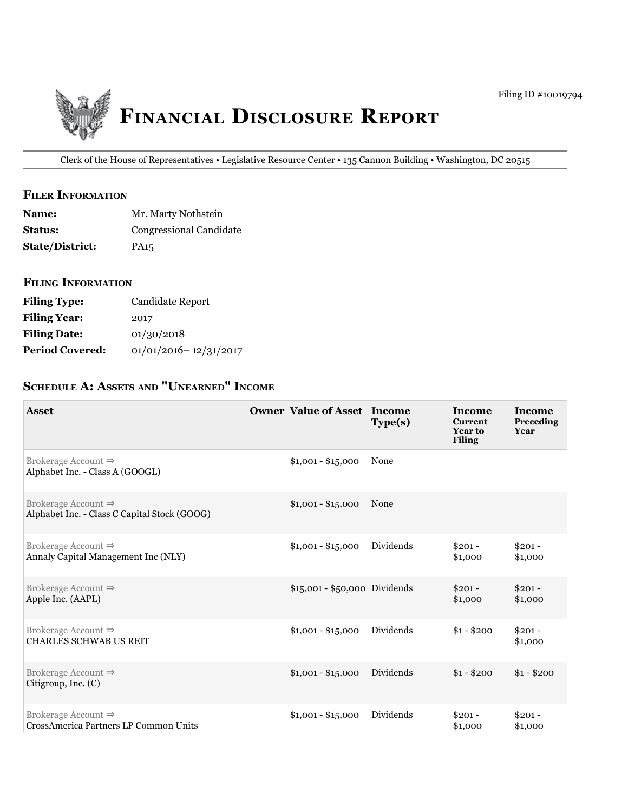

Clerk of the House of Representatives • Legislative Resource Center • 135 Cannon Building • Washington, DC 20515

# **filer information**

| <b>Name:</b>           | Mr. Marty Nothstein     |
|------------------------|-------------------------|
| <b>Status:</b>         | Congressional Candidate |
| <b>State/District:</b> | PA <sub>15</sub>        |

# **filing information**

| <b>Filing Type:</b>    | Candidate Report          |
|------------------------|---------------------------|
| <b>Filing Year:</b>    | 2017                      |
| <b>Filing Date:</b>    | 01/30/2018                |
| <b>Period Covered:</b> | $01/01/2016 - 12/31/2017$ |

# **ScheDule a: aSSetS anD "unearneD" income**

| <b>Asset</b>                                                                    | <b>Owner Value of Asset Income</b> | Type(s)   | Income<br><b>Current</b><br><b>Year to</b><br><b>Filing</b> | Income<br>Preceding<br>Year |
|---------------------------------------------------------------------------------|------------------------------------|-----------|-------------------------------------------------------------|-----------------------------|
| Brokerage Account $\Rightarrow$<br>Alphabet Inc. - Class A (GOOGL)              | $$1,001 - $15,000$                 | None      |                                                             |                             |
| Brokerage Account $\Rightarrow$<br>Alphabet Inc. - Class C Capital Stock (GOOG) | $$1,001 - $15,000$                 | None      |                                                             |                             |
| Brokerage Account $\Rightarrow$<br>Annaly Capital Management Inc (NLY)          | $$1,001 - $15,000$                 | Dividends | $$201 -$<br>\$1,000                                         | $$201 -$<br>\$1,000         |
| Brokerage Account $\Rightarrow$<br>Apple Inc. (AAPL)                            | \$15,001 - \$50,000 Dividends      |           | $$201 -$<br>\$1,000                                         | $$201 -$<br>\$1,000         |
| Brokerage Account $\Rightarrow$<br><b>CHARLES SCHWAB US REIT</b>                | $$1,001 - $15,000$                 | Dividends | $$1 - $200$                                                 | $$201 -$<br>\$1,000         |
| Brokerage Account $\Rightarrow$<br>Citigroup, Inc. (C)                          | $$1,001 - $15,000$                 | Dividends | $$1 - $200$                                                 | $$1 - $200$                 |
| Brokerage Account $\Rightarrow$<br>CrossAmerica Partners LP Common Units        | $$1,001 - $15,000$                 | Dividends | $$201 -$<br>\$1,000                                         | $$201 -$<br>\$1,000         |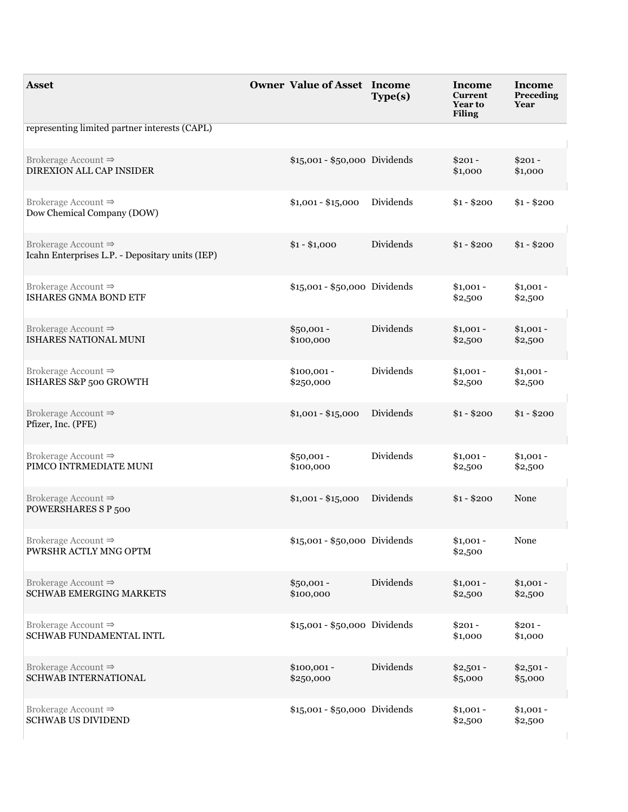| <b>Asset</b>                                                                       | <b>Owner Value of Asset Income</b> | Type(s)                       | Income<br><b>Current</b><br><b>Year to</b><br><b>Filing</b> | Income<br>Preceding<br>Year |
|------------------------------------------------------------------------------------|------------------------------------|-------------------------------|-------------------------------------------------------------|-----------------------------|
| representing limited partner interests (CAPL)                                      |                                    |                               |                                                             |                             |
| Brokerage Account $\Rightarrow$<br>DIREXION ALL CAP INSIDER                        |                                    | \$15,001 - \$50,000 Dividends | $$201 -$<br>\$1,000                                         | $$201 -$<br>\$1,000         |
| Brokerage Account $\Rightarrow$<br>Dow Chemical Company (DOW)                      | $$1,001 - $15,000$                 | Dividends                     | $$1 - $200$                                                 | $$1 - $200$                 |
| Brokerage Account $\Rightarrow$<br>Icahn Enterprises L.P. - Depositary units (IEP) | $$1 - $1,000$                      | Dividends                     | $$1 - $200$                                                 | $$1 - $200$                 |
| Brokerage Account $\Rightarrow$<br>ISHARES GNMA BOND ETF                           |                                    | \$15,001 - \$50,000 Dividends | $$1,001 -$<br>\$2,500                                       | $$1,001 -$<br>\$2,500       |
| Brokerage Account $\Rightarrow$<br>ISHARES NATIONAL MUNI                           | $$50,001 -$<br>\$100,000           | Dividends                     | $$1,001 -$<br>\$2,500                                       | $$1,001 -$<br>\$2,500       |
| Brokerage Account $\Rightarrow$<br>ISHARES S&P 500 GROWTH                          | $$100,001 -$<br>\$250,000          | Dividends                     | $$1,001 -$<br>\$2,500                                       | $$1,001 -$<br>\$2,500       |
| Brokerage Account $\Rightarrow$<br>Pfizer, Inc. (PFE)                              | $$1,001 - $15,000$                 | Dividends                     | $$1 - $200$                                                 | $$1 - $200$                 |
| Brokerage Account $\Rightarrow$<br>PIMCO INTRMEDIATE MUNI                          | $$50,001 -$<br>\$100,000           | Dividends                     | $$1,001 -$<br>\$2,500                                       | $$1,001 -$<br>\$2,500       |
| Brokerage Account $\Rightarrow$<br>POWERSHARES S P 500                             | $$1,001 - $15,000$                 | Dividends                     | $$1 - $200$                                                 | None                        |
| Brokerage Account $\Rightarrow$<br>PWRSHR ACTLY MNG OPTM                           |                                    | \$15,001 - \$50,000 Dividends | $$1,001 -$<br>\$2,500                                       | None                        |
| Brokerage Account $\Rightarrow$<br>SCHWAB EMERGING MARKETS                         | $$50,001 -$<br>\$100,000           | Dividends                     | $$1,001 -$<br>\$2,500                                       | $$1,001 -$<br>\$2,500       |
| Brokerage Account $\Rightarrow$<br>SCHWAB FUNDAMENTAL INTL                         |                                    | \$15,001 - \$50,000 Dividends | $$201 -$<br>\$1,000                                         | $$201 -$<br>\$1,000         |
| Brokerage Account $\Rightarrow$<br><b>SCHWAB INTERNATIONAL</b>                     | $$100,001 -$<br>\$250,000          | Dividends                     | $$2,501 -$<br>\$5,000                                       | $$2,501 -$<br>\$5,000       |
| Brokerage Account $\Rightarrow$<br><b>SCHWAB US DIVIDEND</b>                       |                                    | \$15,001 - \$50,000 Dividends | $$1,001 -$<br>\$2,500                                       | $$1,001 -$<br>\$2,500       |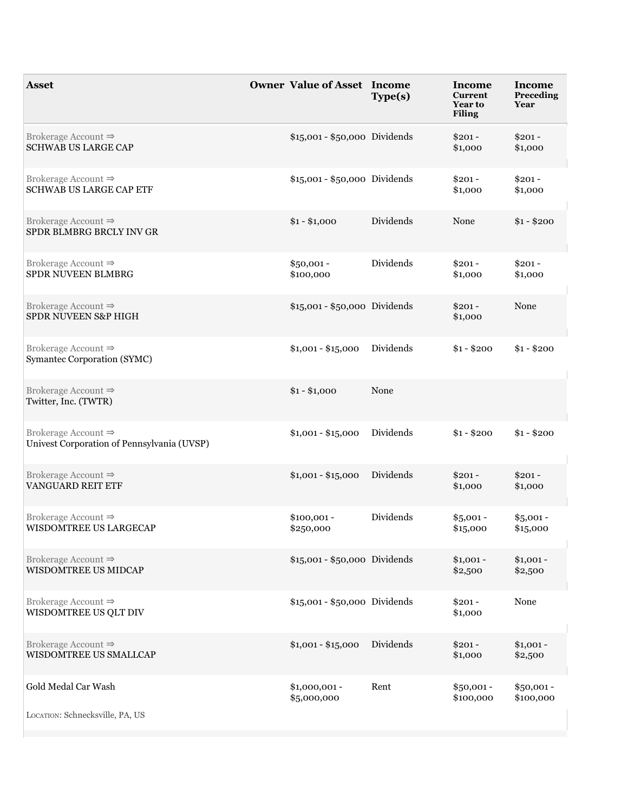| <b>Asset</b>                                                                  | <b>Owner Value of Asset Income</b> | Type(s)   | Income<br><b>Current</b><br><b>Year to</b><br><b>Filing</b> | <b>Income</b><br>Preceding<br>Year |
|-------------------------------------------------------------------------------|------------------------------------|-----------|-------------------------------------------------------------|------------------------------------|
| Brokerage Account $\Rightarrow$<br><b>SCHWAB US LARGE CAP</b>                 | \$15,001 - \$50,000 Dividends      |           | $$201 -$<br>\$1,000                                         | $$201 -$<br>\$1,000                |
| Brokerage Account $\Rightarrow$<br><b>SCHWAB US LARGE CAP ETF</b>             | \$15,001 - \$50,000 Dividends      |           | $$201 -$<br>\$1,000                                         | $$201 -$<br>\$1,000                |
| Brokerage Account $\Rightarrow$<br>SPDR BLMBRG BRCLY INV GR                   | $$1 - $1,000$                      | Dividends | None                                                        | $$1 - $200$                        |
| Brokerage Account $\Rightarrow$<br>SPDR NUVEEN BLMBRG                         | $$50,001 -$<br>\$100,000           | Dividends | $$201 -$<br>\$1,000                                         | $$201 -$<br>\$1,000                |
| Brokerage Account $\Rightarrow$<br>SPDR NUVEEN S&P HIGH                       | \$15,001 - \$50,000 Dividends      |           | $$201 -$<br>\$1,000                                         | None                               |
| Brokerage Account $\Rightarrow$<br>Symantec Corporation (SYMC)                | $$1,001 - $15,000$                 | Dividends | $$1 - $200$                                                 | $$1 - $200$                        |
| Brokerage Account $\Rightarrow$<br>Twitter, Inc. (TWTR)                       | $$1 - $1,000$                      | None      |                                                             |                                    |
| Brokerage Account $\Rightarrow$<br>Univest Corporation of Pennsylvania (UVSP) | $$1,001 - $15,000$                 | Dividends | $$1 - $200$                                                 | $$1 - $200$                        |
| Brokerage Account $\Rightarrow$<br>VANGUARD REIT ETF                          | $$1,001 - $15,000$                 | Dividends | $$201 -$<br>\$1,000                                         | $$201 -$<br>\$1,000                |
| Brokerage Account $\Rightarrow$<br>WISDOMTREE US LARGECAP                     | $$100,001 -$<br>\$250,000          | Dividends | $$5,001 -$<br>\$15,000                                      | $$5,001 -$<br>\$15,000             |
| Brokerage Account $\Rightarrow$<br>WISDOMTREE US MIDCAP                       | \$15,001 - \$50,000 Dividends      |           | $$1,001 -$<br>\$2,500                                       | $$1,001 -$<br>\$2,500              |
| Brokerage Account $\Rightarrow$<br>WISDOMTREE US QLT DIV                      | \$15,001 - \$50,000 Dividends      |           | $$201 -$<br>\$1,000                                         | None                               |
| Brokerage Account $\Rightarrow$<br>WISDOMTREE US SMALLCAP                     | $$1,001 - $15,000$                 | Dividends | $$201 -$<br>\$1,000                                         | $$1,001 -$<br>\$2,500              |
| Gold Medal Car Wash<br>LOCATION: Schnecksville, PA, US                        | $$1,000,001 -$<br>\$5,000,000      | Rent      | $$50,001 -$<br>\$100,000                                    | $$50,001 -$<br>\$100,000           |
|                                                                               |                                    |           |                                                             |                                    |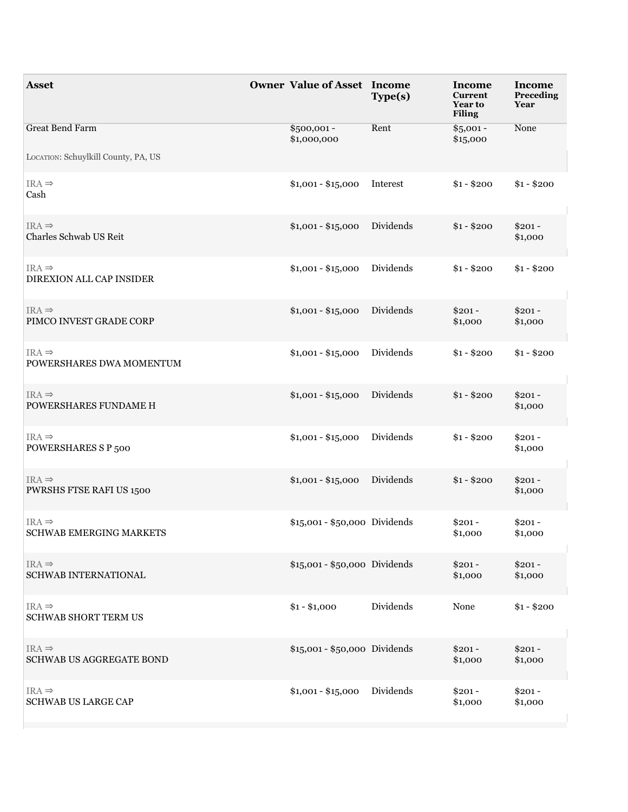| <b>Asset</b>                                                  | <b>Owner Value of Asset Income</b> | Type(s)   | Income<br><b>Current</b><br><b>Year to</b><br><b>Filing</b> | Income<br>Preceding<br>Year |
|---------------------------------------------------------------|------------------------------------|-----------|-------------------------------------------------------------|-----------------------------|
| <b>Great Bend Farm</b><br>LOCATION: Schuylkill County, PA, US | $$500,001 -$<br>\$1,000,000        | Rent      | $$5,001 -$<br>\$15,000                                      | None                        |
| $IRA \Rightarrow$<br>Cash                                     | $$1,001 - $15,000$                 | Interest  | $$1 - $200$                                                 | $$1 - $200$                 |
| $IRA \Rightarrow$<br>Charles Schwab US Reit                   | $$1,001 - $15,000$                 | Dividends | $$1 - $200$                                                 | $$201 -$<br>\$1,000         |
| $IRA \Rightarrow$<br>DIREXION ALL CAP INSIDER                 | $$1,001 - $15,000$                 | Dividends | $$1 - $200$                                                 | $$1 - $200$                 |
| $IRA \Rightarrow$<br>PIMCO INVEST GRADE CORP                  | $$1,001 - $15,000$                 | Dividends | $$201 -$<br>\$1,000                                         | $$201 -$<br>\$1,000         |
| $IRA \Rightarrow$<br>POWERSHARES DWA MOMENTUM                 | $$1,001 - $15,000$                 | Dividends | $$1 - $200$                                                 | $$1 - $200$                 |
| $IRA \Rightarrow$<br>POWERSHARES FUNDAME H                    | $$1,001 - $15,000$                 | Dividends | $$1 - $200$                                                 | $$201 -$<br>\$1,000         |
| $IRA \Rightarrow$<br>POWERSHARES S P 500                      | $$1,001 - $15,000$                 | Dividends | $$1 - $200$                                                 | $$201 -$<br>\$1,000         |
| $IRA \Rightarrow$<br>PWRSHS FTSE RAFI US 1500                 | $$1,001 - $15,000$                 | Dividends | $$1 - $200$                                                 | $$201 -$<br>\$1,000         |
| $IRA \Rightarrow$<br>SCHWAB EMERGING MARKETS                  | \$15,001 - \$50,000 Dividends      |           | $$201 -$<br>\$1,000                                         | $$201 -$<br>\$1,000         |
| $IRA \Rightarrow$<br>SCHWAB INTERNATIONAL                     | \$15,001 - \$50,000 Dividends      |           | $$201 -$<br>\$1,000                                         | $$201 -$<br>\$1,000         |
| $IRA \Rightarrow$<br>SCHWAB SHORT TERM US                     | $$1 - $1,000$                      | Dividends | None                                                        | $$1 - $200$                 |
| $IRA \Rightarrow$<br>SCHWAB US AGGREGATE BOND                 | \$15,001 - \$50,000 Dividends      |           | $$201 -$<br>\$1,000                                         | $$201 -$<br>\$1,000         |
| $IRA \Rightarrow$<br><b>SCHWAB US LARGE CAP</b>               | $$1,001 - $15,000$                 | Dividends | $$201 -$<br>\$1,000                                         | $$201 -$<br>\$1,000         |
|                                                               |                                    |           |                                                             |                             |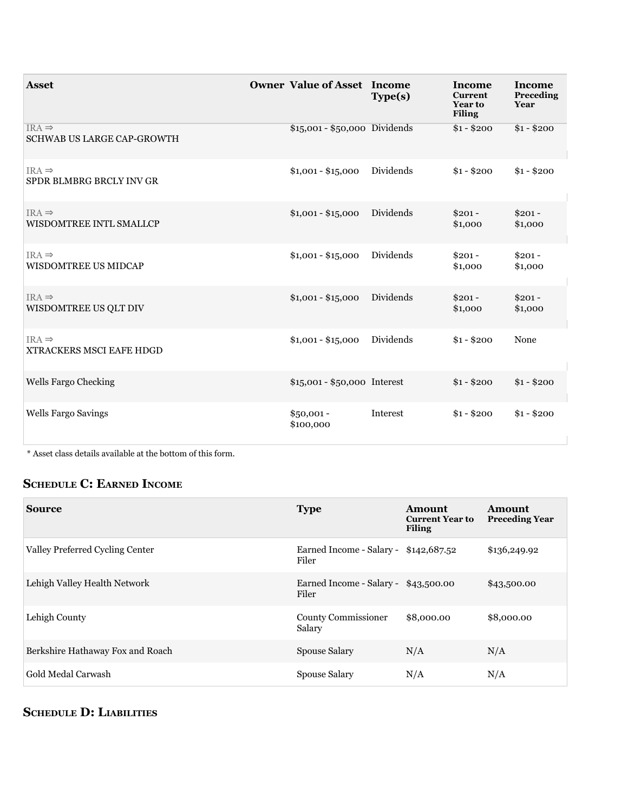| <b>Asset</b>                                    | <b>Owner Value of Asset Income</b> | Type(s)   | <b>Income</b><br><b>Current</b><br><b>Year to</b><br><b>Filing</b> | <b>Income</b><br>Preceding<br>Year |
|-------------------------------------------------|------------------------------------|-----------|--------------------------------------------------------------------|------------------------------------|
| $IRA \Rightarrow$<br>SCHWAB US LARGE CAP-GROWTH | $$15,001 - $50,000$ Dividends      |           | $$1 - $200$                                                        | $$1 - $200$                        |
| $IRA \Rightarrow$<br>SPDR BLMBRG BRCLY INV GR   | $$1,001 - $15,000$                 | Dividends | $$1 - $200$                                                        | $$1 - $200$                        |
| $IRA \Rightarrow$<br>WISDOMTREE INTL SMALLCP    | $$1,001 - $15,000$                 | Dividends | $$201 -$<br>\$1,000                                                | $$201 -$<br>\$1,000                |
| $IRA \Rightarrow$<br>WISDOMTREE US MIDCAP       | $$1,001 - $15,000$                 | Dividends | $$201 -$<br>\$1,000                                                | $$201 -$<br>\$1,000                |
| $IRA \Rightarrow$<br>WISDOMTREE US QLT DIV      | $$1,001 - $15,000$                 | Dividends | $$201 -$<br>\$1,000                                                | $$201 -$<br>\$1,000                |
| $IRA \Rightarrow$<br>XTRACKERS MSCI EAFE HDGD   | $$1,001 - $15,000$                 | Dividends | $$1 - $200$                                                        | None                               |
| Wells Fargo Checking                            | \$15,001 - \$50,000 Interest       |           | $$1 - $200$                                                        | $$1 - $200$                        |
| Wells Fargo Savings                             | $$50,001 -$<br>\$100,000           | Interest  | $$1 - $200$                                                        | $$1 - $200$                        |

\* Asset class details available at the bottom of this form.

# **ScheDule c: earneD income**

| <b>Source</b>                    | <b>Type</b>                                    | <b>Amount</b><br><b>Current Year to</b><br><b>Filing</b> | <b>Amount</b><br><b>Preceding Year</b> |
|----------------------------------|------------------------------------------------|----------------------------------------------------------|----------------------------------------|
| Valley Preferred Cycling Center  | Earned Income - Salary - \$142,687.52<br>Filer |                                                          | \$136,249.92                           |
| Lehigh Valley Health Network     | Earned Income - Salary - \$43,500.00<br>Filer  |                                                          | \$43,500.00                            |
| Lehigh County                    | <b>County Commissioner</b><br>Salary           | \$8,000.00                                               | \$8,000.00                             |
| Berkshire Hathaway Fox and Roach | <b>Spouse Salary</b>                           | N/A                                                      | N/A                                    |
| <b>Gold Medal Carwash</b>        | <b>Spouse Salary</b>                           | N/A                                                      | N/A                                    |

# **ScheDule D: liabilitieS**